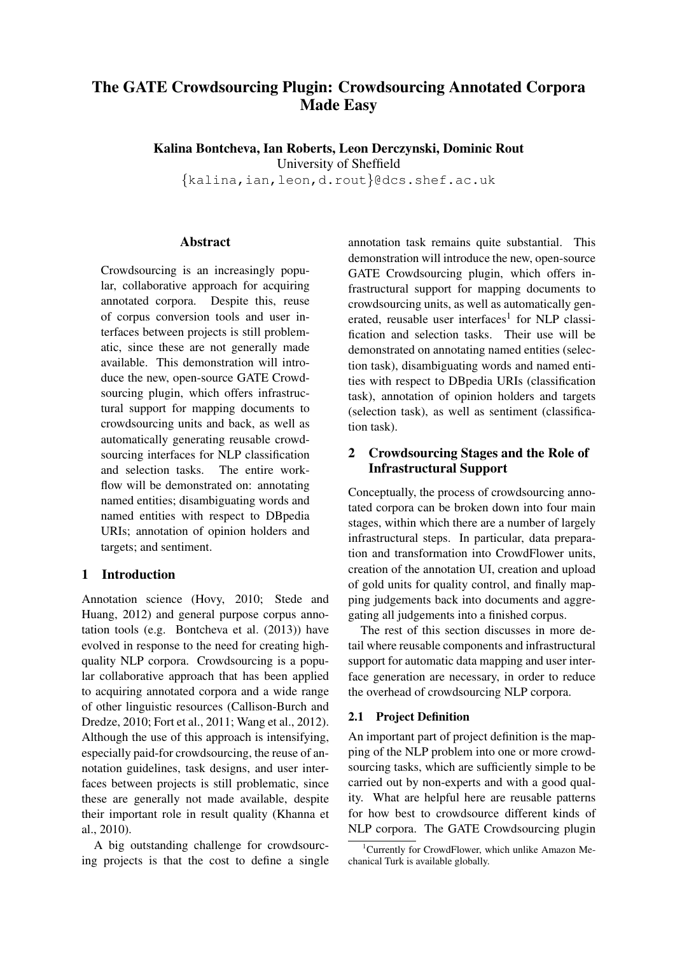# The GATE Crowdsourcing Plugin: Crowdsourcing Annotated Corpora Made Easy

Kalina Bontcheva, Ian Roberts, Leon Derczynski, Dominic Rout

University of Sheffield

{kalina,ian,leon,d.rout}@dcs.shef.ac.uk

## Abstract

Crowdsourcing is an increasingly popular, collaborative approach for acquiring annotated corpora. Despite this, reuse of corpus conversion tools and user interfaces between projects is still problematic, since these are not generally made available. This demonstration will introduce the new, open-source GATE Crowdsourcing plugin, which offers infrastructural support for mapping documents to crowdsourcing units and back, as well as automatically generating reusable crowdsourcing interfaces for NLP classification and selection tasks. The entire workflow will be demonstrated on: annotating named entities; disambiguating words and named entities with respect to DBpedia URIs; annotation of opinion holders and targets; and sentiment.

## 1 Introduction

Annotation science (Hovy, 2010; Stede and Huang, 2012) and general purpose corpus annotation tools (e.g. Bontcheva et al. (2013)) have evolved in response to the need for creating highquality NLP corpora. Crowdsourcing is a popular collaborative approach that has been applied to acquiring annotated corpora and a wide range of other linguistic resources (Callison-Burch and Dredze, 2010; Fort et al., 2011; Wang et al., 2012). Although the use of this approach is intensifying, especially paid-for crowdsourcing, the reuse of annotation guidelines, task designs, and user interfaces between projects is still problematic, since these are generally not made available, despite their important role in result quality (Khanna et al., 2010).

A big outstanding challenge for crowdsourcing projects is that the cost to define a single annotation task remains quite substantial. This demonstration will introduce the new, open-source GATE Crowdsourcing plugin, which offers infrastructural support for mapping documents to crowdsourcing units, as well as automatically generated, reusable user interfaces<sup>1</sup> for NLP classification and selection tasks. Their use will be demonstrated on annotating named entities (selection task), disambiguating words and named entities with respect to DBpedia URIs (classification task), annotation of opinion holders and targets (selection task), as well as sentiment (classification task).

## 2 Crowdsourcing Stages and the Role of Infrastructural Support

Conceptually, the process of crowdsourcing annotated corpora can be broken down into four main stages, within which there are a number of largely infrastructural steps. In particular, data preparation and transformation into CrowdFlower units, creation of the annotation UI, creation and upload of gold units for quality control, and finally mapping judgements back into documents and aggregating all judgements into a finished corpus.

The rest of this section discusses in more detail where reusable components and infrastructural support for automatic data mapping and user interface generation are necessary, in order to reduce the overhead of crowdsourcing NLP corpora.

## 2.1 Project Definition

An important part of project definition is the mapping of the NLP problem into one or more crowdsourcing tasks, which are sufficiently simple to be carried out by non-experts and with a good quality. What are helpful here are reusable patterns for how best to crowdsource different kinds of NLP corpora. The GATE Crowdsourcing plugin

<sup>&</sup>lt;sup>1</sup>Currently for CrowdFlower, which unlike Amazon Mechanical Turk is available globally.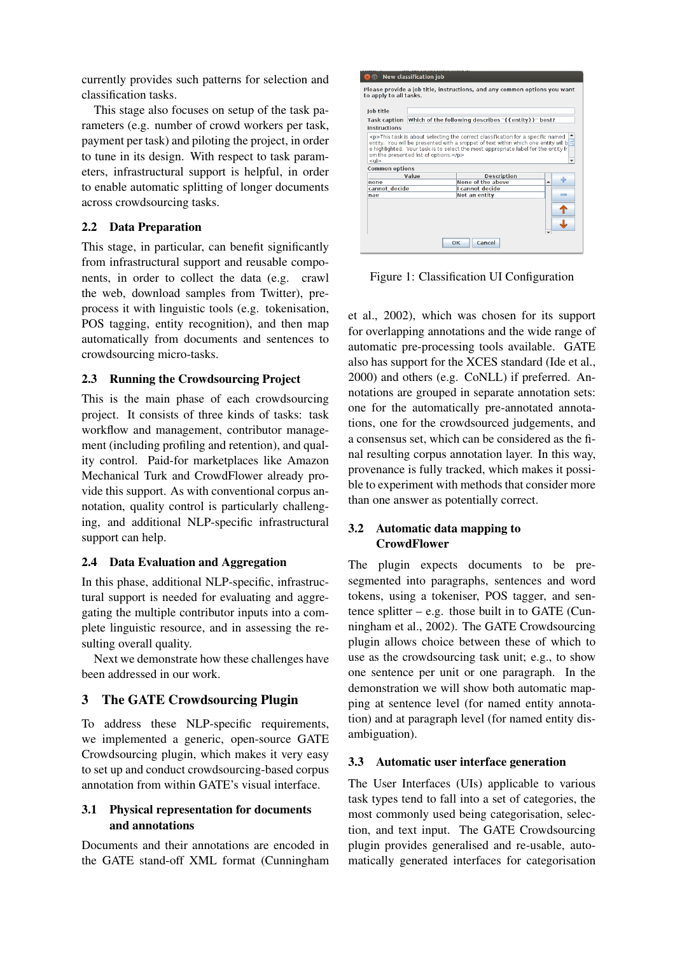currently provides such patterns for selection and classification tasks.

This stage also focuses on setup of the task parameters (e.g. number of crowd workers per task, payment per task) and piloting the project, in order to tune in its design. With respect to task parameters, infrastructural support is helpful, in order to enable automatic splitting of longer documents across crowdsourcing tasks.

## 2.2 Data Preparation

This stage, in particular, can benefit significantly from infrastructural support and reusable components, in order to collect the data (e.g. crawl the web, download samples from Twitter), preprocess it with linguistic tools (e.g. tokenisation, POS tagging, entity recognition), and then map automatically from documents and sentences to crowdsourcing micro-tasks.

## 2.3 Running the Crowdsourcing Project

This is the main phase of each crowdsourcing project. It consists of three kinds of tasks: task workflow and management, contributor management (including profiling and retention), and quality control. Paid-for marketplaces like Amazon Mechanical Turk and CrowdFlower already provide this support. As with conventional corpus annotation, quality control is particularly challenging, and additional NLP-specific infrastructural support can help.

#### 2.4 Data Evaluation and Aggregation

In this phase, additional NLP-specific, infrastructural support is needed for evaluating and aggregating the multiple contributor inputs into a complete linguistic resource, and in assessing the resulting overall quality.

Next we demonstrate how these challenges have been addressed in our work.

## 3 The GATE Crowdsourcing Plugin

To address these NLP-specific requirements, we implemented a generic, open-source GATE Crowdsourcing plugin, which makes it very easy to set up and conduct crowdsourcing-based corpus annotation from within GATE's visual interface.

#### 3.1 Physical representation for documents and annotations

Documents and their annotations are encoded in the GATE stand-off XML format (Cunningham

| New classification job                                                                                                                                                                                                                                |                                                                  |                    |  |
|-------------------------------------------------------------------------------------------------------------------------------------------------------------------------------------------------------------------------------------------------------|------------------------------------------------------------------|--------------------|--|
| Please provide a job title, instructions, and any common options you want<br>to apply to all tasks.                                                                                                                                                   |                                                                  |                    |  |
| lob title                                                                                                                                                                                                                                             |                                                                  |                    |  |
|                                                                                                                                                                                                                                                       | Task caption Which of the following describes "{{entity}}" best? |                    |  |
| <b>Instructions</b>                                                                                                                                                                                                                                   |                                                                  |                    |  |
| entity. You will be presented with a snippet of text within which one entity will b<br>e highlighted. Your task is to select the most appropriate label for the entity fr<br>om the presented list of options.<br><ul><br/><b>Common options</b></ul> |                                                                  |                    |  |
| Value                                                                                                                                                                                                                                                 |                                                                  | <b>Description</b> |  |
| none                                                                                                                                                                                                                                                  |                                                                  | None of the above  |  |
| cannot decide                                                                                                                                                                                                                                         |                                                                  | I cannot decide    |  |
| nae                                                                                                                                                                                                                                                   |                                                                  | Not an entity<br>= |  |
| Cancel<br>OК                                                                                                                                                                                                                                          |                                                                  |                    |  |

Figure 1: Classification UI Configuration

et al., 2002), which was chosen for its support for overlapping annotations and the wide range of automatic pre-processing tools available. GATE also has support for the XCES standard (Ide et al., 2000) and others (e.g. CoNLL) if preferred. Annotations are grouped in separate annotation sets: one for the automatically pre-annotated annotations, one for the crowdsourced judgements, and a consensus set, which can be considered as the final resulting corpus annotation layer. In this way, provenance is fully tracked, which makes it possible to experiment with methods that consider more than one answer as potentially correct.

## 3.2 Automatic data mapping to **CrowdFlower**

The plugin expects documents to be presegmented into paragraphs, sentences and word tokens, using a tokeniser, POS tagger, and sentence splitter  $-$  e.g. those built in to GATE (Cunningham et al., 2002). The GATE Crowdsourcing plugin allows choice between these of which to use as the crowdsourcing task unit; e.g., to show one sentence per unit or one paragraph. In the demonstration we will show both automatic mapping at sentence level (for named entity annotation) and at paragraph level (for named entity disambiguation).

## 3.3 Automatic user interface generation

The User Interfaces (UIs) applicable to various task types tend to fall into a set of categories, the most commonly used being categorisation, selection, and text input. The GATE Crowdsourcing plugin provides generalised and re-usable, automatically generated interfaces for categorisation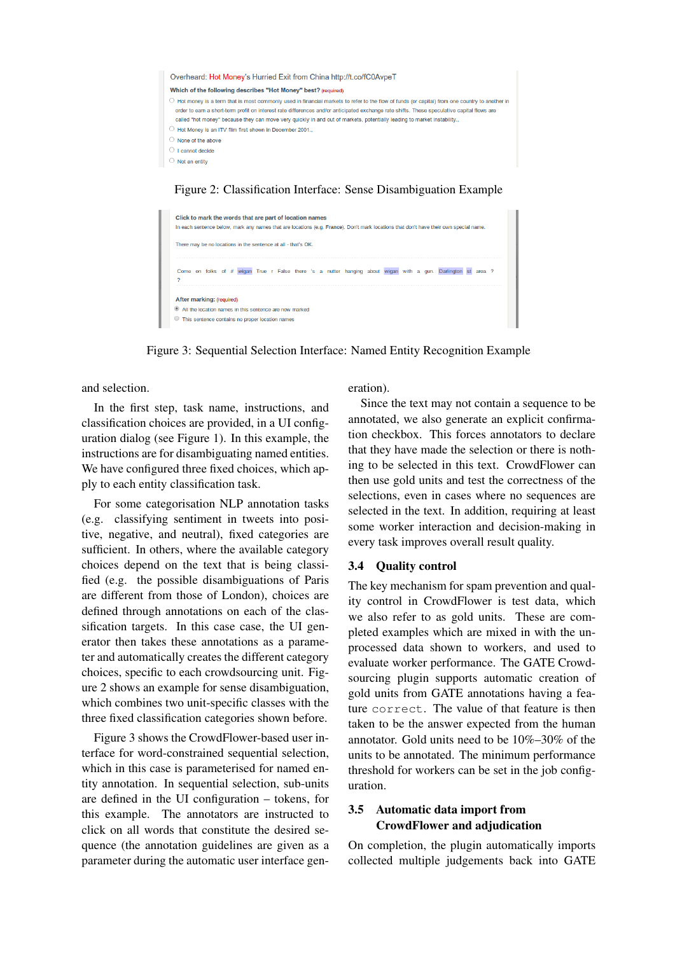

#### Figure 2: Classification Interface: Sense Disambiguation Example



Figure 3: Sequential Selection Interface: Named Entity Recognition Example

and selection.

In the first step, task name, instructions, and classification choices are provided, in a UI configuration dialog (see Figure 1). In this example, the instructions are for disambiguating named entities. We have configured three fixed choices, which apply to each entity classification task.

For some categorisation NLP annotation tasks (e.g. classifying sentiment in tweets into positive, negative, and neutral), fixed categories are sufficient. In others, where the available category choices depend on the text that is being classified (e.g. the possible disambiguations of Paris are different from those of London), choices are defined through annotations on each of the classification targets. In this case case, the UI generator then takes these annotations as a parameter and automatically creates the different category choices, specific to each crowdsourcing unit. Figure 2 shows an example for sense disambiguation, which combines two unit-specific classes with the three fixed classification categories shown before.

Figure 3 shows the CrowdFlower-based user interface for word-constrained sequential selection, which in this case is parameterised for named entity annotation. In sequential selection, sub-units are defined in the UI configuration – tokens, for this example. The annotators are instructed to click on all words that constitute the desired sequence (the annotation guidelines are given as a parameter during the automatic user interface generation).

Since the text may not contain a sequence to be annotated, we also generate an explicit confirmation checkbox. This forces annotators to declare that they have made the selection or there is nothing to be selected in this text. CrowdFlower can then use gold units and test the correctness of the selections, even in cases where no sequences are selected in the text. In addition, requiring at least some worker interaction and decision-making in every task improves overall result quality.

#### 3.4 Quality control

The key mechanism for spam prevention and quality control in CrowdFlower is test data, which we also refer to as gold units. These are completed examples which are mixed in with the unprocessed data shown to workers, and used to evaluate worker performance. The GATE Crowdsourcing plugin supports automatic creation of gold units from GATE annotations having a feature correct. The value of that feature is then taken to be the answer expected from the human annotator. Gold units need to be 10%–30% of the units to be annotated. The minimum performance threshold for workers can be set in the job configuration.

## 3.5 Automatic data import from CrowdFlower and adjudication

On completion, the plugin automatically imports collected multiple judgements back into GATE